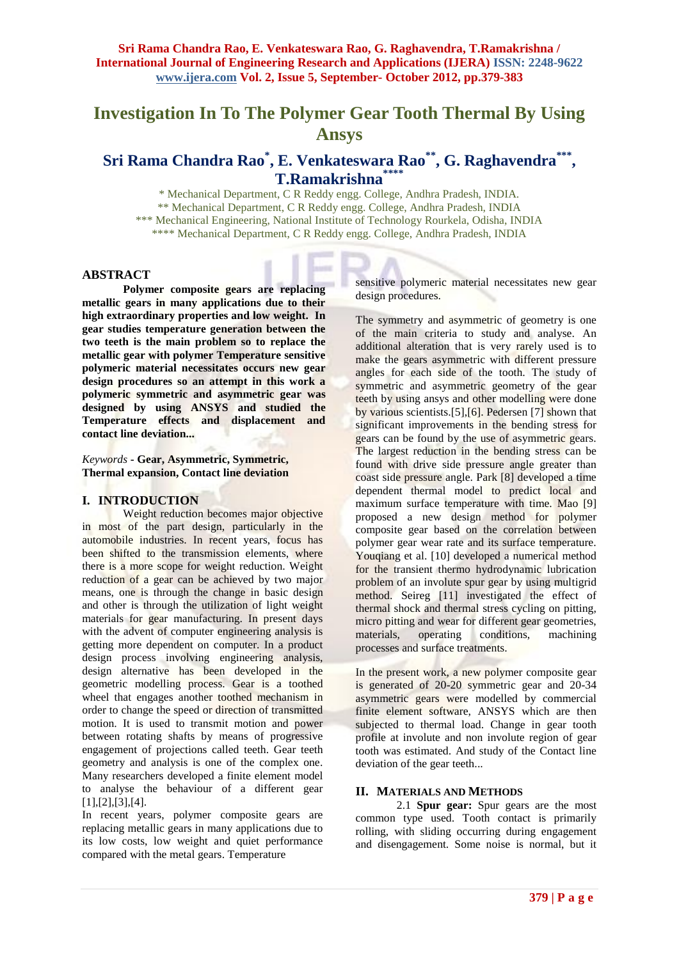# **Investigation In To The Polymer Gear Tooth Thermal By Using Ansys**

# **Sri Rama Chandra Rao\* , E. Venkateswara Rao\*\*, G. Raghavendra\*\*\* , T.Ramakrishna\*\*\*\***

\* Mechanical Department, C R Reddy engg. College, Andhra Pradesh, INDIA. \*\* Mechanical Department, C R Reddy engg. College, Andhra Pradesh, INDIA \*\*\* Mechanical Engineering, National Institute of Technology Rourkela, Odisha, INDIA \*\*\*\* Mechanical Department, C R Reddy engg. College, Andhra Pradesh, INDIA

#### **ABSTRACT**

**Polymer composite gears are replacing metallic gears in many applications due to their high extraordinary properties and low weight. In gear studies temperature generation between the two teeth is the main problem so to replace the metallic gear with polymer Temperature sensitive polymeric material necessitates occurs new gear design procedures so an attempt in this work a polymeric symmetric and asymmetric gear was designed by using ANSYS and studied the Temperature effects and displacement and contact line deviation...**

#### *Keywords* **- Gear, Asymmetric, Symmetric, Thermal expansion, Contact line deviation**

# **I. INTRODUCTION**

Weight reduction becomes major objective in most of the part design, particularly in the automobile industries. In recent years, focus has been shifted to the transmission elements, where there is a more scope for weight reduction. Weight reduction of a gear can be achieved by two major means, one is through the change in basic design and other is through the utilization of light weight materials for gear manufacturing. In present days with the advent of computer engineering analysis is getting more dependent on computer. In a product design process involving engineering analysis, design alternative has been developed in the geometric modelling process. Gear is a toothed wheel that engages another toothed mechanism in order to change the speed or direction of transmitted motion. It is used to transmit motion and power between rotating shafts by means of progressive engagement of projections called teeth. Gear teeth geometry and analysis is one of the complex one. Many researchers developed a finite element model to analyse the behaviour of a different gear [1],[2],[3],[4].

In recent years, polymer composite gears are replacing metallic gears in many applications due to its low costs, low weight and quiet performance compared with the metal gears. Temperature

sensitive polymeric material necessitates new gear design procedures.

The symmetry and asymmetric of geometry is one of the main criteria to study and analyse. An additional alteration that is very rarely used is to make the gears asymmetric with different pressure angles for each side of the tooth. The study of symmetric and asymmetric geometry of the gear teeth by using ansys and other modelling were done by various scientists.[5],[6]. Pedersen [7] shown that significant improvements in the bending stress for gears can be found by the use of asymmetric gears. The largest reduction in the bending stress can be found with drive side pressure angle greater than coast side pressure angle. Park [8] developed a time dependent thermal model to predict local and maximum surface temperature with time. Mao [9] proposed a new design method for polymer composite gear based on the correlation between polymer gear wear rate and its surface temperature. Youqiang et al. [10] developed a numerical method for the transient thermo hydrodynamic lubrication problem of an involute spur gear by using multigrid method. Seireg [11] investigated the effect of thermal shock and thermal stress cycling on pitting, micro pitting and wear for different gear geometries,<br>materials, operating conditions, machining operating conditions, machining processes and surface treatments.

In the present work, a new polymer composite gear is generated of 20-20 symmetric gear and 20-34 asymmetric gears were modelled by commercial finite element software, ANSYS which are then subjected to thermal load. Change in gear tooth profile at involute and non involute region of gear tooth was estimated. And study of the Contact line deviation of the gear teeth...

#### **II. MATERIALS AND METHODS**

2.1 **Spur gear:** Spur gears are the most common type used. Tooth contact is primarily rolling, with sliding occurring during engagement and disengagement. Some noise is normal, but it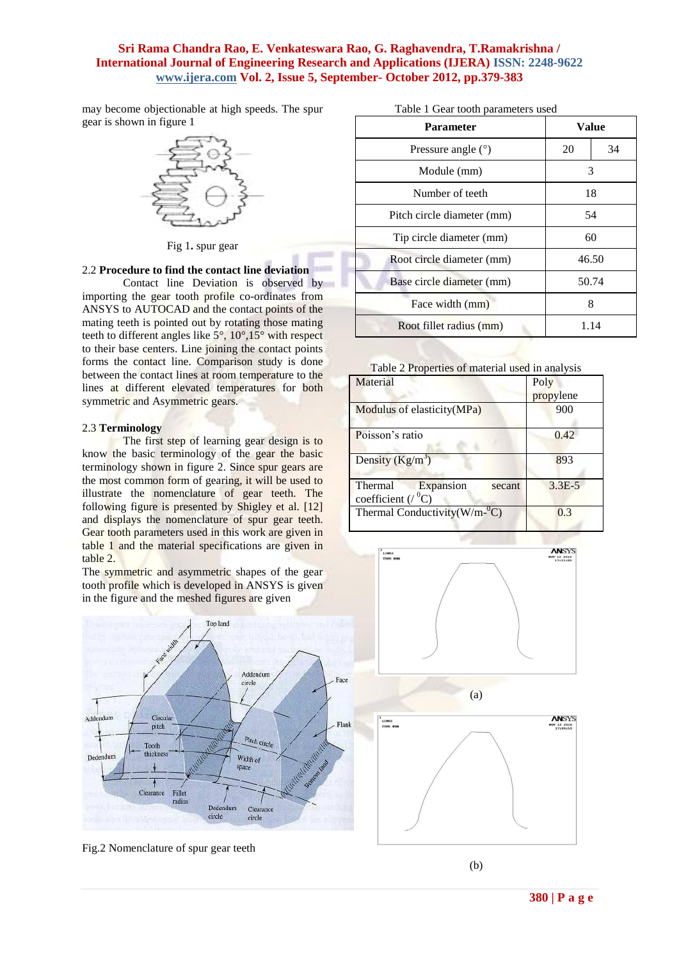may become objectionable at high speeds. The spur gear is shown in figure 1



Fig 1**.** spur gear

#### 2.2 **Procedure to find the contact line deviation**

Contact line Deviation is observed by importing the gear tooth profile co-ordinates from ANSYS to AUTOCAD and the contact points of the mating teeth is pointed out by rotating those mating teeth to different angles like 5°, 10°,15° with respect to their base centers. Line joining the contact points forms the contact line. Comparison study is done between the contact lines at room temperature to the lines at different elevated temperatures for both symmetric and Asymmetric gears.

#### 2.3 **Terminology**

The first step of learning gear design is to know the basic terminology of the gear the basic terminology shown in figure 2. Since spur gears are the most common form of gearing, it will be used to illustrate the nomenclature of gear teeth. The following figure is presented by Shigley et al. [12] and displays the nomenclature of spur gear teeth. Gear tooth parameters used in this work are given in table 1 and the material specifications are given in table 2.

The symmetric and asymmetric shapes of the gear tooth profile which is developed in ANSYS is given in the figure and the meshed figures are given

Top land

Addendum

Pitch circle

Clearance

circle

Width of

space

Dedendum

circle

circle

| Table 1 Gear tooth parameters used |  |
|------------------------------------|--|
|------------------------------------|--|

| <b>Parameter</b>           | Value |    |
|----------------------------|-------|----|
| Pressure angle $(°)$       | 20    | 34 |
| Module (mm)                | 3     |    |
| Number of teeth            | 18    |    |
| Pitch circle diameter (mm) | 54    |    |
| Tip circle diameter (mm)   | 60    |    |
| Root circle diameter (mm)  | 46.50 |    |
| Base circle diameter (mm)  | 50.74 |    |
| Face width (mm)            | 8     |    |
| Root fillet radius (mm)    | 1.14  |    |

#### Table 2 Properties of material used in analysis

| Material                                                       | Poly<br>propylene |
|----------------------------------------------------------------|-------------------|
| Modulus of elasticity (MPa)                                    | 900               |
| Poisson's ratio                                                | 0.42              |
| Density $(Kg/m^3)$                                             | 893               |
| Expansion<br>Thermal<br>secant<br>coefficient ( $\sqrt{^0C}$ ) | $3.3E - 5$        |
| Thermal Conductivity( $W/m$ - ${}^{0}C$ )                      | 0.3               |



Fig.2 Nomenclature of spur gear teeth

Fillet radius

Circular

pitch

Tooth thicknes

Clearance

Addendum

dum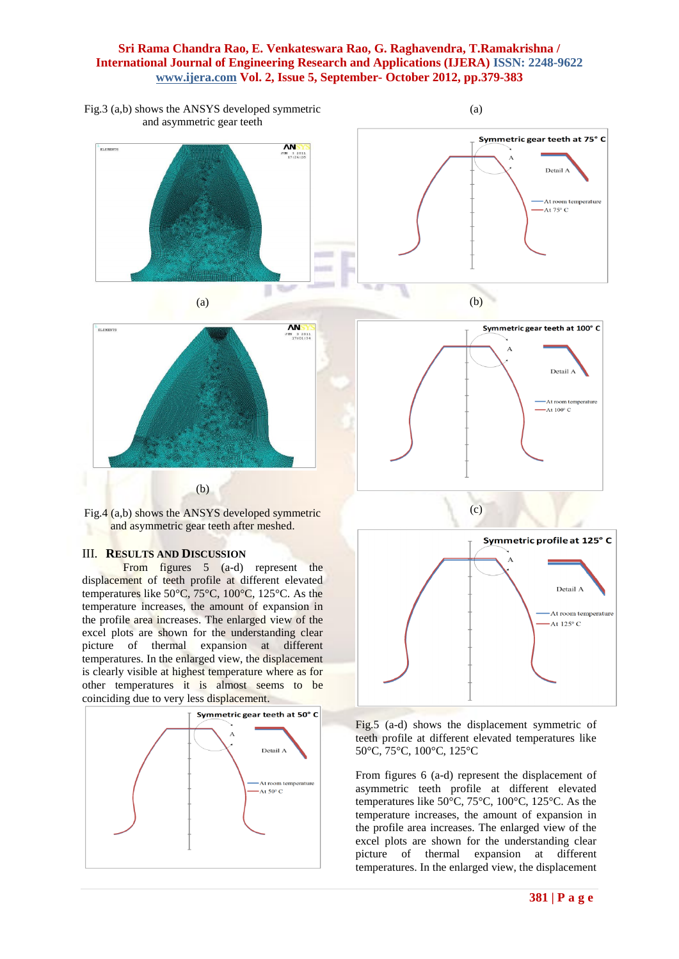

From figures 5 (a-d) represent the displacement of teeth profile at different elevated temperatures like 50°C, 75°C, 100°C, 125°C. As the temperature increases, the amount of expansion in the profile area increases. The enlarged view of the excel plots are shown for the understanding clear picture of thermal expansion at different temperatures. In the enlarged view, the displacement is clearly visible at highest temperature where as for other temperatures it is almost seems to be coinciding due to very less displacement.





Fig.5 (a-d) shows the displacement symmetric of teeth profile at different elevated temperatures like 50°C, 75°C, 100°C, 125°C

From figures 6 (a-d) represent the displacement of asymmetric teeth profile at different elevated temperatures like 50°C, 75°C, 100°C, 125°C. As the temperature increases, the amount of expansion in the profile area increases. The enlarged view of the excel plots are shown for the understanding clear picture of thermal expansion at different temperatures. In the enlarged view, the displacement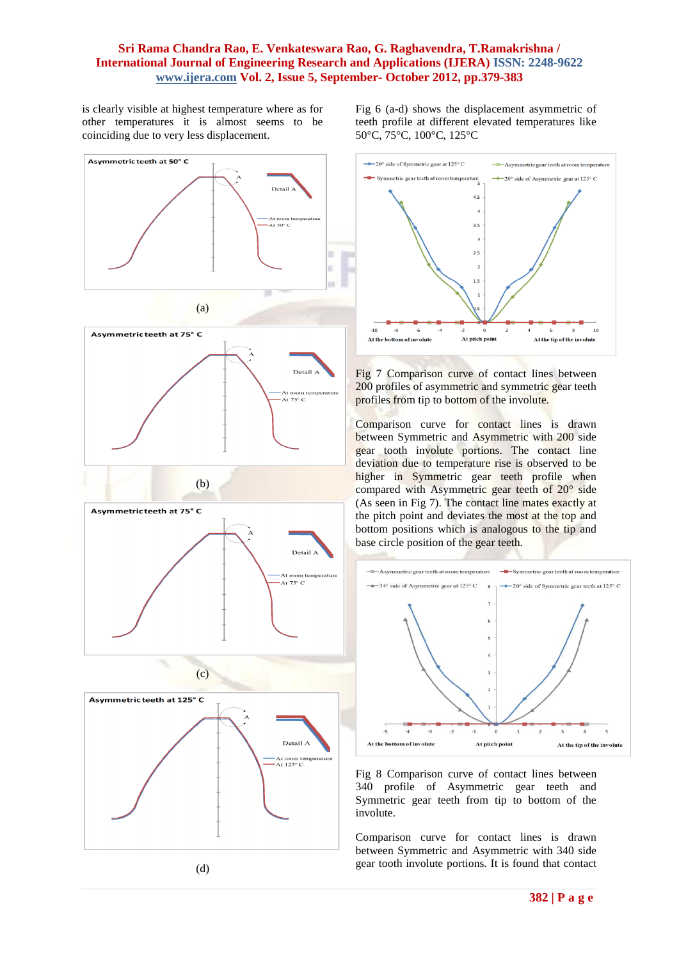is clearly visible at highest temperature where as for other temperatures it is almost seems to be coinciding due to very less displacement.



(d)

Fig 6 (a-d) shows the displacement asymmetric of teeth profile at different elevated temperatures like 50°C, 75°C, 100°C, 125°C



Fig 7 Comparison curve of contact lines between 200 profiles of asymmetric and symmetric gear teeth profiles from tip to bottom of the involute.

Comparison curve for contact lines is drawn between Symmetric and Asymmetric with 200 side gear tooth involute portions. The contact line deviation due to temperature rise is observed to be higher in Symmetric gear teeth profile when compared with Asymmetric gear teeth of 20° side (As seen in Fig 7). The contact line mates exactly at the pitch point and deviates the most at the top and bottom positions which is analogous to the tip and base circle position of the gear teeth.



Fig 8 Comparison curve of contact lines between 340 profile of Asymmetric gear teeth and Symmetric gear teeth from tip to bottom of the involute.

Comparison curve for contact lines is drawn between Symmetric and Asymmetric with 340 side gear tooth involute portions. It is found that contact